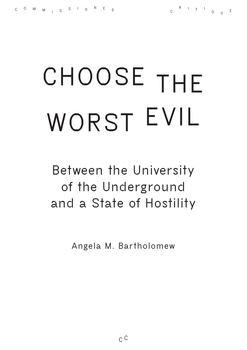# **CHOOSE THE WORST EVIL**

**Between the University of the Underground and a State of Hostility**

**Angela M. Bartholomew**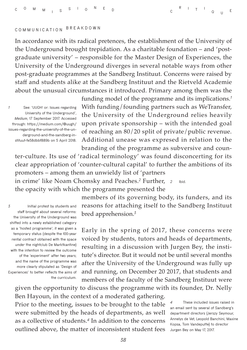## **COMMUNICATION BREAKDOWN**

In accordance with its radical pretences, the establishment of the University of the Underground brought trepidation. As a charitable foundation – and 'postgraduate university' – responsible for the Master Design of Experiences, the University of the Underground diverges in several notable ways from other post-graduate programmes at the Sandberg Instituut. Concerns were raised by staff and students alike at the Sandberg Instituut and the Rietveld Academie about the unusual circumstances it introduced. Primary among them was the

*1* **See: 'UUGH! or: Issues regarding University of the Underground',**  *Medium***, 17 September 2017. Accessed through: [https://medium.com/@uugh/](https://medium.com/%40uugh/issues-regarding-the-university-of-the-underground-and-the-sandberg-instituut-fe58dbbf889b) [issues-regarding-the-university-of-the-un](https://medium.com/%40uugh/issues-regarding-the-university-of-the-underground-and-the-sandberg-instituut-fe58dbbf889b)[derground-and-the-sandberg-in](https://medium.com/%40uugh/issues-regarding-the-university-of-the-underground-and-the-sandberg-instituut-fe58dbbf889b)[stituut-fe58dbbf889b](https://medium.com/%40uugh/issues-regarding-the-university-of-the-underground-and-the-sandberg-instituut-fe58dbbf889b) on 5 April 2018.** funding model of the programme and its implications.*<sup>1</sup>* With funding/founding partners such as WeTransfer, the University of the Underground relies heavily upon private sponsorship – with the intended goal of reaching an 80/20 split of private/public revenue. Additional unease was expresed in relation to the branding of the programme as subversive and coun-

ter-culture. Its use of 'radical terminology' was found disconcerting for its clear appropriation of 'counter-cultural capital' to further the ambitions of its promoters – among them an unwieldy list of 'partners

*2* **Ibid.** in crime' like Noam Chomsky and Peaches.*<sup>2</sup>* Further, the opacity with which the programme presented the

*3* **Initial protest by students and staff brought about several reforms: the University of the Underground was shifted into a newly established category as a 'hosted programme'; it was given a temporary status (despite the 100-year rental contract obtained with the space**  *under* **the nightclub De Marktkantine) with the intention to review the outcome of the 'experiment' after two years; and the name of the programme was more clearly stipulated as 'Design of Experiences' to better reflects the aims of the curriculum.**

members of its governing body, its funders, and its reasons for attaching itself to the Sandberg Instituut bred apprehension.*<sup>3</sup>*

Early in the spring of 2017, these concerns were voiced by students, tutors and heads of departments, resulting in a discussion with Jurgen Bey, the institute's director. But it would not be until several months after the University of the Underground was fully up and running, on December 20 2017, that students and members of the faculty of the Sandberg Instituut were given the opportunity to discuss the programme with its founder, Dr. Nelly

Ben Hayoun, in the context of a moderated gathering. Prior to the meeting, issues to be brought to the table were submitted by the heads of departments, as well as a collective of students.*<sup>4</sup>* In addition to the concerns outlined above, the matter of inconsistent student fees

*4* **These included issues raised in an email sent by several of Sandberg's department directors (Jerszy Seymour, Annelys de Vet, Leopold Banchini, Maxine Kopsa, Tom Vandeputte) to director Jurgen Bey on May 17, 2017.**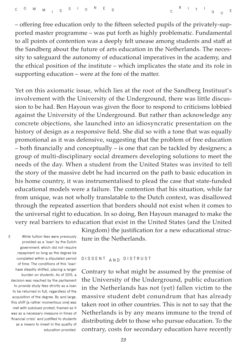– offering free education only to the fifteen selected pupils of the privately-supported master programme – was put forth as highly problematic. Fundamental to all points of contention was a deeply felt unease among students and staff at the Sandberg about the future of arts education in the Netherlands. The necessity to safeguard the autonomy of educational imperatives in the academy, and the ethical position of the institute – which implicates the state and its role in supporting education – were at the fore of the matter.

Yet on this axiomatic issue, which lies at the root of the Sandberg Instituut's involvement with the University of the Underground, there was little discussion to be had. Ben Hayoun was given the floor to respond to criticisms lobbied against the University of the Underground. But rather than acknowledge any concrete objections, she launched into an idiosyncratic presentation on the history of design as a responsive field. She did so with a tone that was equally promotional as it was defensive, suggesting that the problem of free education – both financially and conceptually – is one that can be tackled by designers; a group of multi-disciplinary social dreamers developing solutions to meet the needs of the day. When a student from the United States was invited to tell the story of the massive debt he had incurred on the path to basic education in his home country, it was instrumentalised to plead the case that state-funded educational models were a failure. The contention that his situation, while far from unique, was not wholly translatable to the Dutch context, was disallowed through the repeated assertion that borders should not exist when it comes to the universal right to education. In so doing, Ben Hayoun managed to make the very real barriers to education that exist in the United States (and the United

*5* **While tuition fees were previously provided as a 'loan' by the Dutch government, which did not require repayment so long as the degree be completed within a stipulated period of time. The conditions of this 'loan' have steadily shifted, placing a larger burden on students. As of 2015, a decision was reached by the parliament to provide study fees strictly as a loan to be returned in full, regardless of the acquisition of the degree. By and large, this shift (a rather momentous one) was met with subdued protest, framed as it was as a necessary measure in times of 'financial crisis' and justified to students as a means to invest in the quality of education provided.**

Kingdom) the justification for a new educational structure in the Netherlands.

#### **DISSENT AND DISTRUST**

Contrary to what might be assumed by the premise of the University of the Underground, public education in the Netherlands has not (yet) fallen victim to the massive student debt conundrum that has already taken root in other countries. This is not to say that the Netherlands is by any means immune to the trend of distributing debt to those who pursue education. To the contrary, costs for secondary education have recently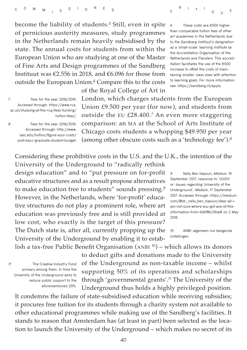become the liability of students.*<sup>5</sup>* Still, even in spite of pernicious austerity measures, study programmes in the Netherlands remain heavily subsidised by the state. The annual costs for students from within the European Union who are studying at one of the Master of Fine Arts and Design programmes of the Sandberg Instituut was  $\epsilon$ 2.556 in 2018, and  $\epsilon$ 6.096 for those from outside the European Union.*<sup>6</sup>* Compare this to the costs

*6* **These costs are €500 higher than comparable tuition fees of other art academies in the Netherlands due to the Sandberg Instituut's designation as a 'small-scale' learning institute by the Accreditation Organisation of the Netherlands and Flanders. This accreditation facilitates the use of the €500 increase to offset the costs of maintaining smaller class sizes with attention to learning goals. For more information see: [https://sandberg.nl/apply.](https://sandberg.nl/apply)** 

*7* **Fees for the year 2018/2019. Accessed through: [https://www.rca.](https://www.rca.ac.uk/studying-at-the-rca/fees-funding/tuition-fees/) [ac.uk/studying-at-the-rca/fees-funding/](https://www.rca.ac.uk/studying-at-the-rca/fees-funding/tuition-fees/) [tuition-fees/.](https://www.rca.ac.uk/studying-at-the-rca/fees-funding/tuition-fees/)**

*8* **Fees for the year 2018/2019. Accessed through: [http://www.](http://www.saic.edu/tuition/figure-your-costs/post-bacc-graduate-student-budget) [saic.edu/tuition/figure-your-costs/](http://www.saic.edu/tuition/figure-your-costs/post-bacc-graduate-student-budget) [post-bacc-graduate-student-budget.](http://www.saic.edu/tuition/figure-your-costs/post-bacc-graduate-student-budget)** London, which charges students from the European Union £9.500 per year (for now), and students from outside the EU £28.400.*<sup>7</sup>* An even more staggering comparison: an MA at the School of Arts Institute of Chicago costs students a whopping \$49.950 per year (among other obscure costs such as a 'technology fee').*<sup>8</sup>*

Considering these prohibitive costs in the U.S. and the U.K., the intention of the

of the Royal College of Art in

University of the Underground to "radically rethink design education" and to "put pressure on for-profit educative structures and as a result propose alternatives to make education free to students" sounds pressing.*<sup>9</sup>* However, in the Netherlands, where 'for-profit' educative structures do not play a prominent role, where art education was previously free and is still provided at low cost, who exactly is the target of this pressure? The Dutch state is, after all, currently propping up the University of the Underground by enabling it to establish a tax-free Public Benefit Organisation (ANBI *<sup>10</sup>*) – which allows its donors

*9* **Nelly Ben Hayoun,** *Medium***, 19 September 2017, response to 'UUGH! or: Issues regarding University of the Underground',** *Medium***, 17 September 2017. Accessed through: [https://medium.](https://medium.com/%40dr._nelly_ben_hayoun/dear-all-i-am-not-sure-where-you-got-any-of-this-information-from-9dbff8c39de8) [com/@dr.\\_nelly\\_ben\\_hayoun/dear-all-i](https://medium.com/%40dr._nelly_ben_hayoun/dear-all-i-am-not-sure-where-you-got-any-of-this-information-from-9dbff8c39de8)[am-not-sure-where-you-got-any-of-this](https://medium.com/%40dr._nelly_ben_hayoun/dear-all-i-am-not-sure-where-you-got-any-of-this-information-from-9dbff8c39de8)[information-from-9dbff8c39de8](https://medium.com/%40dr._nelly_ben_hayoun/dear-all-i-am-not-sure-where-you-got-any-of-this-information-from-9dbff8c39de8) on 2 May 2018.** 

*10* **ANBI: algemeen nut beogende instellingen.**

*11* **The Creative Industry Fund primary among them. In time the University of the Underground aims to reduce public support to the aforementioned 20%.** to deduct gifts and donations made to the University of the Underground as non-taxable income – whilst supporting 50% of its operations and scholarships through 'governmental grants'.*<sup>11</sup>* The University of the Underground thus holds a highly privileged position.

It condemns the failure of state-subsidised education while receiving subsidies; it procures free tuition for its students through a charity system not available to other educational programmes while making use of the Sandberg's facilities. It stands to reason that Amsterdam has (at least in part) been selected as the location to launch the University of the Underground – which makes no secret of its

*40*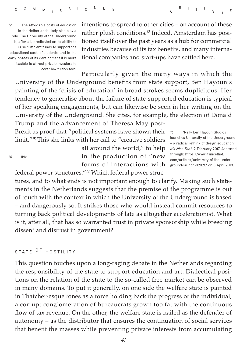*12* **The affordable costs of education in the Netherlands likely also play a role. The University of the Underground is, after all, predicated on its ability to raise sufficient funds to support the educational costs of students, and in the early phases of its development it is more feasible to attract private investors to cover low tuition fees.**

intentions to spread to other cities – on account of these rather plush conditions.*12* Indeed, Amsterdam has positioned itself over the past years as a hub for commercial industries because of its tax benefits, and many international companies and start-ups have settled here.

Particularly given the many ways in which the University of the Underground benefits from state support, Ben Hayoun's painting of the 'crisis of education' in broad strokes seems duplicitous. Her tendency to generalise about the failure of state-supported education is typical of her speaking engagements, but can likewise be seen in her writing on the University of the Underground. She cites, for example, the election of Donald Trump and the advancement of Theresa May post-

Brexit as proof that "political systems have shown their limit."*<sup>13</sup>* This she links with her call to "creative soldiers

all around the world," to help in the production of "new forms of interactions with federal power structures."*14* Which federal power struc-

*13* **'Nelly Ben Hayoun Studios launches University of the Underground – a radical rethink of design education',**  *It's Nice That***, 2 February 2017. Accessed through: [https://www.itsnicethat.](https://www.itsnicethat.com/articles/university-of-the-underground-launch-020217) [com/articles/university-of-the-under](https://www.itsnicethat.com/articles/university-of-the-underground-launch-020217)[ground-launch-020217](https://www.itsnicethat.com/articles/university-of-the-underground-launch-020217) on 6 April 2018.**

tures, and to what ends is not important enough to clarify. Making such statements in the Netherlands suggests that the premise of the programme is out of touch with the context in which the University of the Underground is based – and dangerously so. It strikes those who would instead commit resources to turning back political developments of late as altogether accelerationist. What is it, after all, that has so warranted trust in private sponsorship while breeding dissent and distrust in government?

## **STATE O F HOSTILITY**

*14* **Ibid.**

This question touches upon a long-raging debate in the Netherlands regarding the responsibility of the state to support education and art. Dialectical positions on the relation of the state to the so-called free market can be observed in many domains. To put it generally, on one side the welfare state is painted in Thatcher-esque tones as a force holding back the progress of the individual, a corrupt conglomeration of bureaucrats grown too fat with the continuous flow of tax revenue. On the other, the welfare state is hailed as the defender of autonomy – as the distributor that ensures the continuation of social services that benefit the masses while preventing private interests from accumulating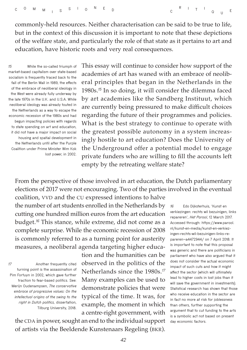commonly-held resources. Neither characterisation can be said to be true to life, but in the context of this discussion it is important to note that these depictions of the welfare state, and particularly the role of that state as it pertains to art and education, have historic roots and very real consequences.

*15* **While the so-called triumph of market-based capitalism over state-based socialism is frequently traced back to the fall of the Berlin Wall in 1989, the effects of the embrace of neoliberal ideology in the West were already fully underway by the late 1970s in the U.K. and U.S.A. While neoliberal ideology was already touted in the Netherlands as a way to escape the economic recession of the 1980s and had begun impacting policies with regards to state spending on art and education, it did not have a major impact on social housing and spatial development in the Netherlands until after the Purple Coalition under Prime Minister Wim Kok lost power, in 2002.** This essay will continue to consider how support of the academies of art has waned with an embrace of neoliberal principles that began in the Netherlands in the 1980s.*<sup>15</sup>* In so doing, it will consider the dilemma faced by art academies like the Sandberg Instituut, which are currently being pressured to make difficult choices regarding the future of their programmes and policies. What is the best strategy to continue to operate with the greatest possible autonomy in a system increasingly hostile to art education? Does the University of the Underground offer a potential model to engage private funders who are willing to fill the accounts left empty by the retreating welfare state?

From the perspective of those involved in art education, the Dutch parliamentary elections of 2017 were not encouraging. Two of the parties involved in the eventual

coalition, VVD and the CU expressed intentions to halve the number of art students enrolled in the Netherlands by cutting one hundred million euros from the art education budget.*<sup>16</sup>* This stance, while extreme, did not come as a complete surprise. While the economic recession of 2008 is commonly referred to as a turning point for austerity measures, a neoliberal agenda targeting higher educa-

*17* **Another frequently cited turning point is the assassination of Pim Fortuyn in 2002, which gave further traction to fear-based politics. See: Merijn Oudenampsen,** *The conservative embrace of progressive values: On the intellectual origins of the swing to the right in Dutch politics,* **dissertation, Tilburg University, 2018.** tion and the humanities can be observed in the politics of the Netherlands since the 1980s.*<sup>17</sup>* Many examples can be used to demonstrate policies that were typical of the time. It was, for example, the moment in which a centre-right government, with

the CDA in power, sought an end to the individual support of artists via the Beeldende Kunstenaars Regeling (BKR).

*16* **Edo Dijksterhuis, 'Kunst en verkiezingen: rechts wil bezuinigen, links repareren',** *Het Parool***, 12 March 2017. Accessed through: [https://www.parool.](https://www.parool.nl/nieuws/kunst-en-verkiezingen-rechts-wil-bezuinigen-links-repareren~b092539a/) [nl/kunst-en-media/kunst-en-verkiez](https://www.parool.nl/nieuws/kunst-en-verkiezingen-rechts-wil-bezuinigen-links-repareren~b092539a/)[ingen-rechts-wil-bezuinigen-links-re](https://www.parool.nl/nieuws/kunst-en-verkiezingen-rechts-wil-bezuinigen-links-repareren~b092539a/)[pareren~a4472944/](https://www.parool.nl/nieuws/kunst-en-verkiezingen-rechts-wil-bezuinigen-links-repareren~b092539a/) on 7 April 2018. It is important to note that this proposal was generic and there are politicians in parliament who have also argued that it does not consider the actual economic impact of such cuts and how it might affect the sector (which will ultimately lead to higher costs in lost jobs than it will save the government in investments). Statistical research has shown that those who receive education in the sector are in fact no more at risk for joblessness than others, further supporting the argument that to cut funding to the arts is a symbolic act not based on present day economic factors.**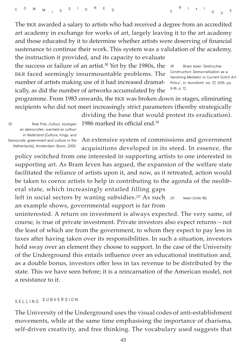The BKR awarded a salary to artists who had received a degree from an accredited art academy in exchange for works of art, largely leaving it to the art academy and those educated by it to determine whether artists were deserving of financial sustenance to continue their work. This system was a validation of the academy, the instruction it provided, and its capacity to evaluate

the success or failure of an artist.*<sup>18</sup>* Yet by the 1980s, the BKR faced seemingly insurmountable problems. The number of artists making use of it had increased dramatically, as did the number of artworks accumulated by the

*18* **Bram Ieven 'Destructive Construction: Democratization as a Vanishing Mediator in Current Dutch Art Policy', in:** *Kunstlicht***, vol. 37, 2016: pp. 9-16; p. 12.**

programme. From 1983 onwards, the BKR was broken down in stages, eliminating recipients who did not meet increasingly strict parameters (thereby strategically

*19* **Roel Pots,** *Cultuur, koningen en democraten: overheid en cultuur in Nederland* **(Culture, Kings, and Democrats: government and culture in the Netherlands), Amsterdam: Boom, 2000.** 

dividing the base that would protest its eradication). 1986 marked its official end.*<sup>19</sup>*

An extensive system of commissions and government acquisitions developed in its steed. In essence, the

policy switched from one interested in supporting artists to one interested in supporting art. As Bram Ieven has argued, the expansion of the welfare state facilitated the reliance of artists upon it, and now, as it retreated, action would be taken to coerce artists to help in contributing to the agenda of the neoliberal state, which increasingly entailed filling gaps

left in social sectors by waning subsidies.*<sup>20</sup>* As such an example shows, governmental support is far from *20* **Ieven (note 18).**

uninterested. A return on investment is always expected. The very same, of course, is true of private investment. Private investors also expect returns – not the least of which are from the government, to whom they expect to pay less in taxes after having taken over its responsibilities. In such a situation, investors hold sway over an element they choose to support. In the case of the University of the Underground this entails influence over an educational institution and, as a double bonus, investors offer less in tax revenue to be distributed by the state. This we have seen before; it is a reincarnation of the American model, not a resistance to it.

# **SELLING SUBVERSION**

The University of the Underground uses the visual codes of anti-establishment movements, while at the same time emphasising the importance of charisma, self-driven creativity, and free thinking. The vocabulary used suggests that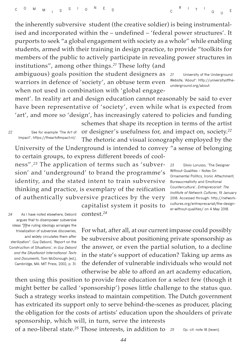the inherently subversive student (the creative soldier) is being instrumentalised and incorporated within the – undefined – 'federal power structures'. It purports to seek "a global engagement with society as a whole" while enabling students, armed with their training in design practice, to provide "toolkits for members of the public to actively participate in revealing power structures in institutions", among other things.*<sup>21</sup>* These lofty (and

ambiguous) goals position the student designers as warriors in defence of 'society', an obtuse term even when not used in combination with 'global engage-

ment'. In reality art and design education cannot reasonably be said to ever have been representative of 'society', even while what is expected from 'art', and more so 'design', has increasingly catered to policies and funding

*22* **See for example 'The Art of Impact', [https://theartofimpact.nl/.](https://theartofimpact.nl/)**

schemes that shape its reception in terms of the artist or designer's usefulness for, and impact on, society.*<sup>22</sup>* The rhetoric and visual iconography employed by the University of the Underground is intended to convey "a sense of belonging

to certain groups, to express different breeds of cool-

ness".*23* The application of terms such as 'subversion' and 'underground' to brand the programme's identity, and the stated intent to train subversive thinking and practice, is exemplary of the reification of authentically subversive practices by the very

*23* **Silvio Lorusso, 'The Designer Without Qualities – Notes On Ornamental Politics, Ironic Attachment, Bureaucreativity and Emotional Counterculture',** *Entreprecariat: The Institute of Network Cultures***, 19 January 2018. Accessed through: [http://network](http://networkcultures.org/entreprecariat/the-designer-without-qualities/)[cultures.org/entreprecariat/the-design](http://networkcultures.org/entreprecariat/the-designer-without-qualities/)[er-without-qualities/](http://networkcultures.org/entreprecariat/the-designer-without-qualities/) on 4 May 2018.**

*24* **As I have noted elsewhere, Debord argues that to disempower subversive ideas "[t]he ruling ideology arranges the trivialization of subversive discoveries, and widely circulates them after sterilization". Guy Debord, 'Report on the Construction of Situations', in** *Guy Debord and the Situationist International: Texts and Documents***, Tom McDonough (ed.), Cambridge, MA: MIT Press, 2002, p. 31.**

capitalist system it posits to contest.*<sup>24</sup>*

For what, after all, at our current impasse could possibly be subversive about positioning private sponsorship as the answer, or even the partial solution, to a decline in the state's support of education? Taking up arms as the defender of vulnerable individuals who would not otherwise be able to afford an art academy education,

then using this position to provide free education for a select few (though it might better be called 'sponsorship') poses little challenge to the status quo. Such a strategy works instead to maintain competition. The Dutch government has extricated its support only to serve behind-the-scenes as producer, placing the obligation for the costs of artists' education upon the shoulders of private sponsorship, which will, in turn, serve the interests of a neo-liberal state.*<sup>25</sup>* Those interests, in addition to

*25* **Op. cit. note 18 (Ieven).**

*44*

*21* **University of the Underground Website, 'About': [http://universityofthe](http://universityoftheunderground.org/about)[underground.org/about.](http://universityoftheunderground.org/about)**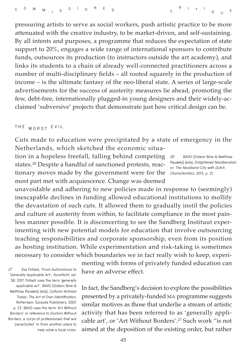*26* **BAVO (Gideon Boie & Matthias Pauwels) (eds),** *Enlightened Neoliberalism or: The Neoliberal City with Dutch Characteristics***, 2013, p. 21.**

pressuring artists to serve as social workers, push artistic practice to be more attenuated with the creative industry, to be market-driven, and self-sustaining. By all intents and purposes, a programme that reduces the expectation of state support to 20%, engages a wide range of international sponsors to contribute funds, outsources its production (to instructors outside the art academy), and links its students to a chain of already well-connected practitioners across a number of multi-disciplinary fields – all rooted squarely in the production of income – is the ultimate fantasy of the neo-liberal state. A series of large-scale advertisements for the success of austerity measures lie ahead, promoting the few, debt-free, internationally plugged-in young designers and their widely-acclaimed 'subversive' projects that demonstrate just how critical design can be.

### **THE WORST EVIL**

Cuts made to education were precipitated by a state of emergency in the Netherlands, which sketched the economic situa-

tion in a hopeless freefall, falling behind competing states.*26* Despite a handful of sanctioned protests, reactionary moves made by the government were for the most part met with acquiescence. Change was deemed

unavoidable and adhering to new policies made in response to (seemingly) inescapable declines in funding allowed educational institutions to mollify the devastation of such cuts. It allowed them to gradually instil the policies and culture of austerity from within, to facilitate compliance in the most painless manner possible. It is disconcerting to see the Sandberg Instituut experimenting with new potential models for education that involve outsourcing teaching responsibilities and corporate sponsorship, even from its position as hosting institution. While experimentation and risk-taking is sometimes necessary to consider which boundaries we in fact really wish to keep, experi-

*27* **Eva Fotiadi, 'From Autonomous to Generally Applicable Art',** *Kunstlicht***, vol. 38, 2017. Fotiadi uses the term 'generally applicable art'. BAVO (Gideon Boie & Matthias Pauwels) (eds),** *Cultural Activism Today: The Art of Over-Identification***, Rotterdam: Episode Publishers, 2007, p. 23. BAVO uses the term 'Art Without Borders' in reference to Doctors Without Borders, a corps of professionals that are 'parachuted' in from another place to help solve a local crisis.**

menting with forms of privately funded education can have an adverse effect.

In fact, the Sandberg's decision to explore the possibilities presented by a privately-funded MA programme suggests similar motives as those that underlie a stream of artistic activity that has been referred to as 'generally applicable art', or 'Art Without Borders'.*<sup>27</sup>* Such work "is not aimed at the deposition of the existing order, but rather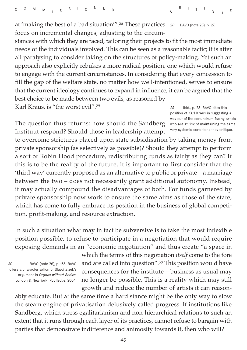at 'making the best of a bad situation'".*<sup>28</sup>* These practices focus on incremental changes, adjusting to the circum-*28* **BAVO (note 26), p. 27.**

stances with which they are faced, tailoring their projects to fit the most immediate needs of the individuals involved. This can be seen as a reasonable tactic; it is after all paralysing to consider taking on the structures of policy-making. Yet such an approach also explicitly rebukes a more radical position, one which would refuse to engage with the current circumstances. In considering that every concession to fill the gap of the welfare state, no matter how well-intentioned, serves to ensure that the current ideology continues to expand in influence, it can be argued that the best choice to be made between two evils, as reasoned by

Karl Kraus, is "the worst evil".*<sup>29</sup>*

The question thus returns: how should the Sandberg Instituut respond? Should those in leadership attempt

*29* **Ibid., p. 28. BAVO cites this position of Karl Kraus in suggesting a way out of the conundrum facing artists who are at risk of maintaining the same very systemic conditions they critique.**

to overcome strictures placed upon state subsidisation by taking money from private sponsorship (as selectively as possible)? Should they attempt to perform a sort of Robin Hood procedure, redistributing funds as fairly as they can? If this is to be the reality of the future, it is important to first consider that the 'third way' currently proposed as an alternative to public or private – a marriage between the two – does not necessarily grant additional autonomy. Instead, it may actually compound the disadvantages of both. For funds garnered by private sponsorship now work to ensure the same aims as those of the state, which has come to fully embrace its position in the business of global competition, profit-making, and resource extraction.

In such a situation what may in fact be subversive is to take the most inflexible position possible, to refuse to participate in a negotiation that would require exposing demands in an "economic negotiation" and thus create "a space in

*30* **BAVO (note 26), p. 135. BAVO offers a characterisation of Slavoj Zizek's argument in** *Organs without Bodies***, London & New York: Routledge, 2004.**  which the terms of this negotiation *itself* come to the fore and are called into question".*<sup>30</sup>* This position would have consequences for the institute – business as usual may no longer be possible. This is a reality which may still growth and reduce the number of artists it can reason-

ably educate. But at the same time a hard stance might be the only way to slow the steam engine of privatisation delusively called progress. If institutions like Sandberg, which stress egalitarianism and non-hierarchical relations to such an extent that it runs through each layer of its practices, cannot refuse to bargain with parties that demonstrate indifference and animosity towards it, then who will?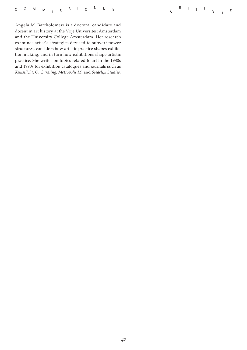|  |  |  |  |  |  |  |  |  |  |  | C <sup>O</sup> M <sub>M I</sub> S <sup>S</sup> I O <sup>N</sup> E <sub>D</sub> |  |  |  |
|--|--|--|--|--|--|--|--|--|--|--|--------------------------------------------------------------------------------|--|--|--|
|--|--|--|--|--|--|--|--|--|--|--|--------------------------------------------------------------------------------|--|--|--|

Angela M. Bartholomew is a doctoral candidate and docent in art history at the Vrije Universiteit Amsterdam and the University College Amsterdam. Her research examines artist's strategies devised to subvert power structures, considers how artistic practice shapes exhibition making, and in turn how exhibitions shape artistic practice. She writes on topics related to art in the 1980s and 1990s for exhibition catalogues and journals such as *Kunstlicht, OnCurating, Metropolis M*, and *Stedelijk Studies.*